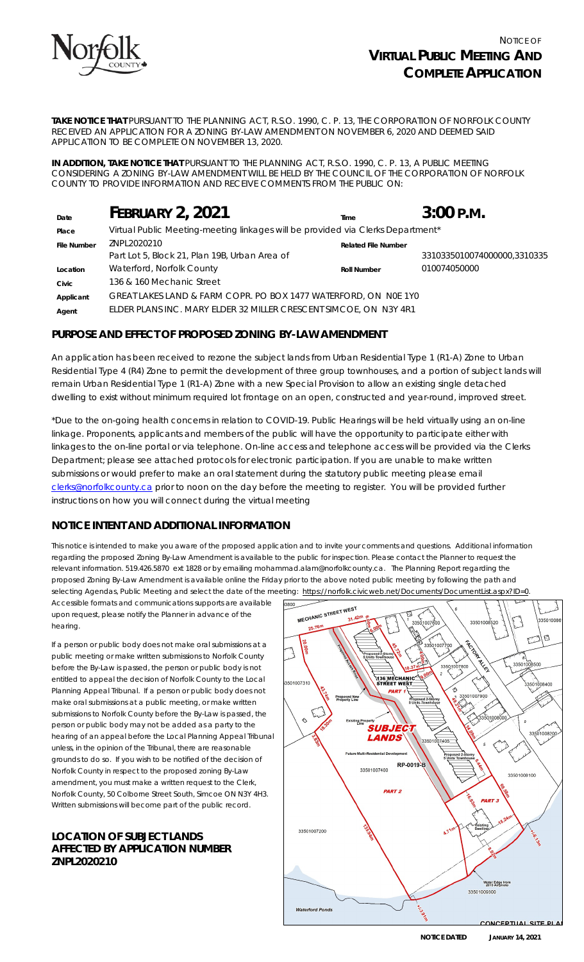

**TAKE NOTICE THAT** PURSUANT TO THE *PLANNING ACT, R.S.O. 1990, C. P. 13*, THE CORPORATION OF NORFOLK COUNTY RECEIVED AN APPLICATION FOR A ZONING BY-LAW AMENDMENT ON NOVEMBER 6, 2020 AND DEEMED SAID APPLICATION TO BE COMPLETE ON NOVEMBER 13, 2020.

**IN ADDITION, TAKE NOTICE THAT** PURSUANT TO THE PLANNING ACT, R.S.O. 1990, C. P. 13, A PUBLIC MEETING CONSIDERING A ZONING BY-LAW AMENDMENT WILL BE HELD BY THE COUNCIL OF THE CORPORATION OF NORFOLK COUNTY TO PROVIDE INFORMATION AND RECEIVE COMMENTS FROM THE PUBLIC ON:

| Date               | <b>FEBRUARY 2, 2021</b>                                                         | Time                       | $3:00$ P.M.                 |
|--------------------|---------------------------------------------------------------------------------|----------------------------|-----------------------------|
| Place              | Virtual Public Meeting-meeting linkages will be provided via Clerks Department* |                            |                             |
| <b>File Number</b> | ZNPL2020210                                                                     | <b>Related File Number</b> |                             |
|                    | Part Lot 5, Block 21, Plan 19B, Urban Area of                                   |                            | 3310335010074000000,3310335 |
| Location           | Waterford, Norfolk County                                                       | <b>Roll Number</b>         | 010074050000                |
| Civic              | 136 & 160 Mechanic Street                                                       |                            |                             |
| Applicant          | GREAT LAKES LAND & FARM COPR. PO BOX 1477 WATERFORD, ON NOE 1Y0                 |                            |                             |
| Agent              | ELDER PLANS INC. MARY ELDER 32 MILLER CRESCENT SIMCOE, ON N3Y 4R1               |                            |                             |

## **PURPOSE AND EFFECT OF PROPOSED ZONING BY-LAW AMENDMENT**

An application has been received to rezone the subject lands from Urban Residential Type 1 (R1-A) Zone to Urban Residential Type 4 (R4) Zone to permit the development of three group townhouses, and a portion of subject lands will remain Urban Residential Type 1 (R1-A) Zone with a new Special Provision to allow an existing single detached dwelling to exist without minimum required lot frontage on an open, constructed and year-round, improved street.

\*Due to the on-going health concerns in relation to COVID-19. Public Hearings will be held virtually using an on-line linkage. Proponents, applicants and members of the public will have the opportunity to participate either with linkages to the on-line portal or via telephone. On-line access and telephone access will be provided via the Clerks Department; please see attached protocols for electronic participation. If you are unable to make written submissions or would prefer to make an oral statement during the statutory public meeting please email [clerks@norfolkcounty.ca](mailto:clerks@norfolkcounty.ca) prior to noon on the day before the meeting to register. You will be provided further instructions on how you will connect during the virtual meeting

# **NOTICE INTENT AND ADDITIONAL INFORMATION**

This notice is intended to make you aware of the proposed application and to invite your comments and questions. Additional information regarding the proposed Zoning By-Law Amendment is available to the public for inspection. Please contact the Planner to request the relevant information. 519.426.5870 ext 1828 or by emailing mohammad.alam@norfolkcounty.ca. The Planning Report regarding the proposed Zoning By-Law Amendment is available online the Friday prior to the above noted public meeting by following the path and selecting Agendas, Public Meeting and select the date of the meeting: https://norfolk.civicweb.net/Documents/DocumentList.aspx?ID=0.

Accessible formats and communications supports are available upon request, please notify the Planner in advance of the hearing.

If a person or public body does not make oral submissions at a public meeting or make written submissions to Norfolk County before the By-Law is passed, the person or public body is not entitled to appeal the decision of Norfolk County to the Local Planning Appeal Tribunal. If a person or public body does not make oral submissions at a public meeting, or make written submissions to Norfolk County before the By-Law is passed, the person or public body may not be added as a party to the hearing of an appeal before the Local Planning Appeal Tribunal unless, in the opinion of the Tribunal, there are reasonable grounds to do so. If you wish to be notified of the decision of Norfolk County in respect to the proposed zoning By-Law amendment, you must make a written request to the Clerk, Norfolk County, 50 Colborne Street South, Simcoe ON N3Y 4H3. Written submissions will become part of the public record.

### **LOCATION OF SUBJECT LANDS AFFECTED BY APPLICATION NUMBER ZNPL2020210**



**NOTICE DATED JANUARY 14, 2021**